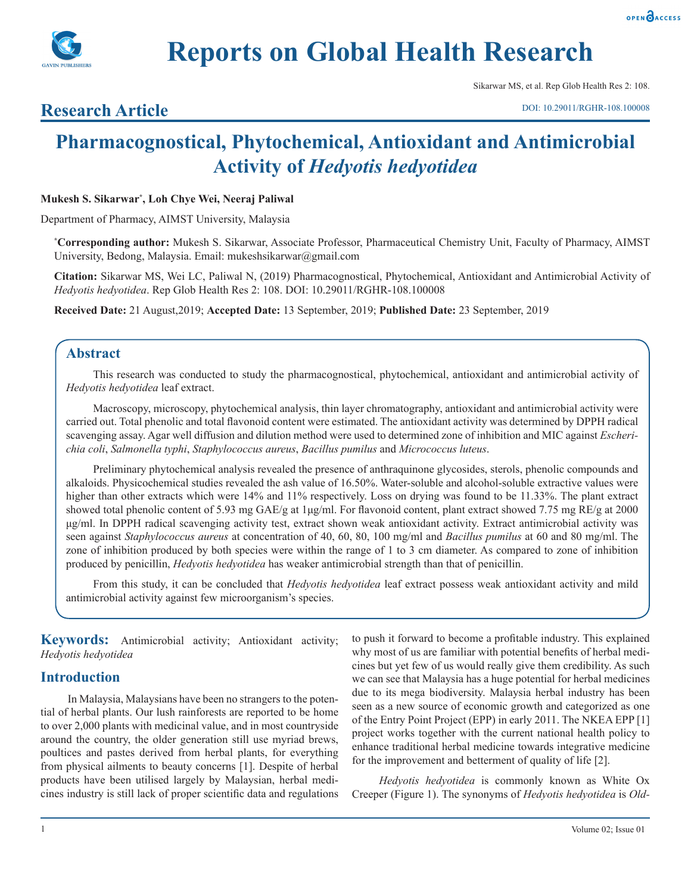**Reports on Global Health Research**



Sikarwar MS, et al. Rep Glob Health Res 2: 108.

# **Research Article**

# **Pharmacognostical, Phytochemical, Antioxidant and Antimicrobial Activity of** *Hedyotis hedyotidea*

## **Mukesh S. Sikarwar\* , Loh Chye Wei, Neeraj Paliwal**

Department of Pharmacy, AIMST University, Malaysia

**\* Corresponding author:** Mukesh S. Sikarwar, Associate Professor, Pharmaceutical Chemistry Unit, Faculty of Pharmacy, AIMST University, Bedong, Malaysia. Email: mukeshsikarwar@gmail.com

**Citation:** Sikarwar MS, Wei LC, Paliwal N, (2019) Pharmacognostical, Phytochemical, Antioxidant and Antimicrobial Activity of *Hedyotis hedyotidea*. Rep Glob Health Res 2: 108. DOI: 10.29011/RGHR-108.100008

**Received Date:** 21 August,2019; **Accepted Date:** 13 September, 2019; **Published Date:** 23 September, 2019

# **Abstract**

This research was conducted to study the pharmacognostical, phytochemical, antioxidant and antimicrobial activity of *Hedyotis hedyotidea* leaf extract.

Macroscopy, microscopy, phytochemical analysis, thin layer chromatography, antioxidant and antimicrobial activity were carried out. Total phenolic and total flavonoid content were estimated. The antioxidant activity was determined by DPPH radical scavenging assay. Agar well diffusion and dilution method were used to determined zone of inhibition and MIC against *Escherichia coli*, *Salmonella typhi*, *Staphylococcus aureus*, *Bacillus pumilus* and *Micrococcus luteus*.

Preliminary phytochemical analysis revealed the presence of anthraquinone glycosides, sterols, phenolic compounds and alkaloids. Physicochemical studies revealed the ash value of 16.50%. Water-soluble and alcohol-soluble extractive values were higher than other extracts which were 14% and 11% respectively. Loss on drying was found to be 11.33%. The plant extract showed total phenolic content of 5.93 mg GAE/g at 1µg/ml. For flavonoid content, plant extract showed 7.75 mg RE/g at 2000 μg/ml. In DPPH radical scavenging activity test, extract shown weak antioxidant activity. Extract antimicrobial activity was seen against *Staphylococcus aureus* at concentration of 40, 60, 80, 100 mg/ml and *Bacillus pumilus* at 60 and 80 mg/ml. The zone of inhibition produced by both species were within the range of 1 to 3 cm diameter. As compared to zone of inhibition produced by penicillin, *Hedyotis hedyotidea* has weaker antimicrobial strength than that of penicillin.

From this study, it can be concluded that *Hedyotis hedyotidea* leaf extract possess weak antioxidant activity and mild antimicrobial activity against few microorganism's species.

**Keywords:** Antimicrobial activity; Antioxidant activity; *Hedyotis hedyotidea*

# **Introduction**

In Malaysia, Malaysians have been no strangers to the potential of herbal plants. Our lush rainforests are reported to be home to over 2,000 plants with medicinal value, and in most countryside around the country, the older generation still use myriad brews, poultices and pastes derived from herbal plants, for everything from physical ailments to beauty concerns [1]. Despite of herbal products have been utilised largely by Malaysian, herbal medicines industry is still lack of proper scientific data and regulations to push it forward to become a profitable industry. This explained why most of us are familiar with potential benefits of herbal medicines but yet few of us would really give them credibility. As such we can see that Malaysia has a huge potential for herbal medicines due to its mega biodiversity. Malaysia herbal industry has been seen as a new source of economic growth and categorized as one of the Entry Point Project (EPP) in early 2011. The NKEA EPP [1] project works together with the current national health policy to enhance traditional herbal medicine towards integrative medicine for the improvement and betterment of quality of life [2].

*Hedyotis hedyotidea* is commonly known as White Ox Creeper (Figure 1). The synonyms of *Hedyotis hedyotidea* is *Old-*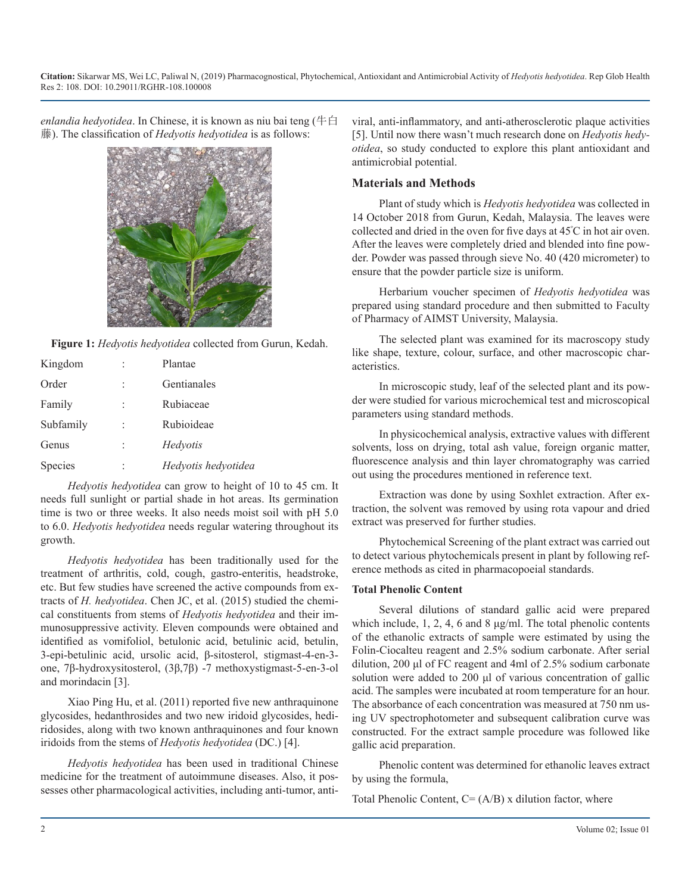*enlandia hedyotidea*. In Chinese, it is known as niu bai teng (牛白 藤). The classification of *Hedyotis hedyotidea* is as follows:



**Figure 1:** *Hedyotis hedyotidea* collected from Gurun, Kedah.

| Kingdom        |                      | Plantae             |
|----------------|----------------------|---------------------|
| Order          | ٠                    | Gentianales         |
| Family         |                      | Rubiaceae           |
| Subfamily      | $\ddot{\phantom{a}}$ | Rubioideae          |
| Genus          | $\ddot{\phantom{a}}$ | Hedyotis            |
| <b>Species</b> |                      | Hedyotis hedyotidea |

*Hedyotis hedyotidea* can grow to height of 10 to 45 cm. It needs full sunlight or partial shade in hot areas. Its germination time is two or three weeks. It also needs moist soil with pH 5.0 to 6.0. *Hedyotis hedyotidea* needs regular watering throughout its growth.

*Hedyotis hedyotidea* has been traditionally used for the treatment of arthritis, cold, cough, gastro-enteritis, headstroke, etc. But few studies have screened the active compounds from extracts of *H. hedyotidea*. Chen JC, et al. (2015) studied the chemical constituents from stems of *Hedyotis hedyotidea* and their immunosuppressive activity. Eleven compounds were obtained and identified as vomifoliol, betulonic acid, betulinic acid, betulin, 3-epi-betulinic acid, ursolic acid, β-sitosterol, stigmast-4-en-3 one, 7β-hydroxysitosterol, (3β,7β) -7 methoxystigmast-5-en-3-ol and morindacin [3].

Xiao Ping Hu, et al. (2011) reported five new anthraquinone glycosides, hedanthrosides and two new iridoid glycosides, hediridosides, along with two known anthraquinones and four known iridoids from the stems of *Hedyotis hedyotidea* (DC.) [4].

*Hedyotis hedyotidea* has been used in traditional Chinese medicine for the treatment of autoimmune diseases. Also, it possesses other pharmacological activities, including anti-tumor, anti-

viral, anti-inflammatory, and anti-atherosclerotic plaque activities [5]. Until now there wasn't much research done on *Hedyotis hedyotidea*, so study conducted to explore this plant antioxidant and antimicrobial potential.

### **Materials and Methods**

Plant of study which is *Hedyotis hedyotidea* was collected in 14 October 2018 from Gurun, Kedah, Malaysia. The leaves were collected and dried in the oven for five days at 45<sup>º</sup> C in hot air oven. After the leaves were completely dried and blended into fine powder. Powder was passed through sieve No. 40 (420 micrometer) to ensure that the powder particle size is uniform.

Herbarium voucher specimen of *Hedyotis hedyotidea* was prepared using standard procedure and then submitted to Faculty of Pharmacy of AIMST University, Malaysia.

The selected plant was examined for its macroscopy study like shape, texture, colour, surface, and other macroscopic characteristics.

In microscopic study, leaf of the selected plant and its powder were studied for various microchemical test and microscopical parameters using standard methods.

In physicochemical analysis, extractive values with different solvents, loss on drying, total ash value, foreign organic matter, fluorescence analysis and thin layer chromatography was carried out using the procedures mentioned in reference text.

Extraction was done by using Soxhlet extraction. After extraction, the solvent was removed by using rota vapour and dried extract was preserved for further studies.

Phytochemical Screening of the plant extract was carried out to detect various phytochemicals present in plant by following reference methods as cited in pharmacopoeial standards.

#### **Total Phenolic Content**

Several dilutions of standard gallic acid were prepared which include, 1, 2, 4, 6 and 8 μg/ml. The total phenolic contents of the ethanolic extracts of sample were estimated by using the Folin-Ciocalteu reagent and 2.5% sodium carbonate. After serial dilution, 200 μl of FC reagent and 4ml of 2.5% sodium carbonate solution were added to 200 μl of various concentration of gallic acid. The samples were incubated at room temperature for an hour. The absorbance of each concentration was measured at 750 nm using UV spectrophotometer and subsequent calibration curve was constructed. For the extract sample procedure was followed like gallic acid preparation.

Phenolic content was determined for ethanolic leaves extract by using the formula,

Total Phenolic Content,  $C = (A/B)$  x dilution factor, where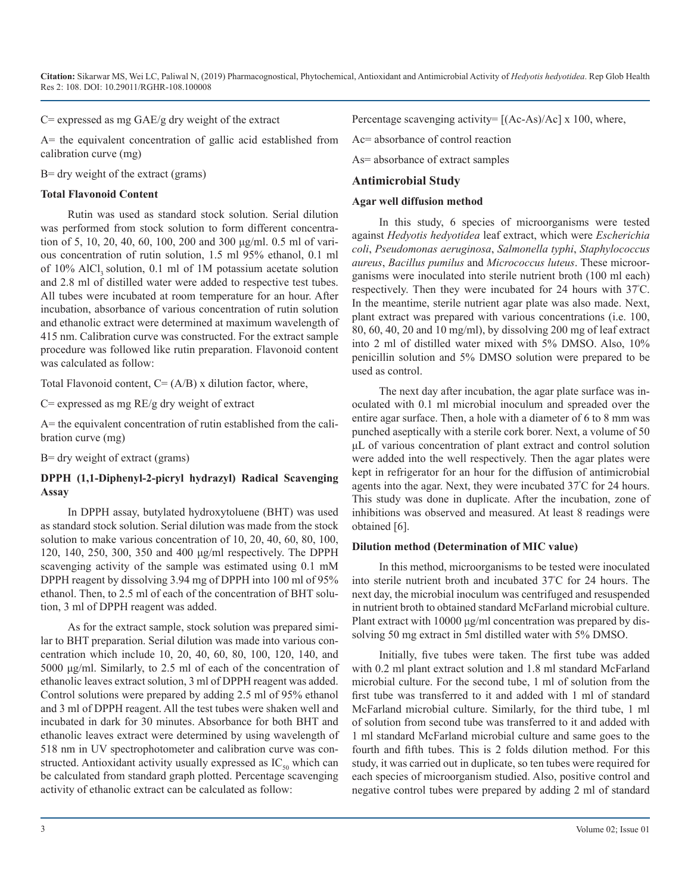$C$ = expressed as mg GAE/g dry weight of the extract

A= the equivalent concentration of gallic acid established from calibration curve (mg)

B= dry weight of the extract (grams)

#### **Total Flavonoid Content**

Rutin was used as standard stock solution. Serial dilution was performed from stock solution to form different concentration of 5, 10, 20, 40, 60, 100, 200 and 300 μg/ml. 0.5 ml of various concentration of rutin solution, 1.5 ml 95% ethanol, 0.1 ml of 10% AlCl, solution, 0.1 ml of 1M potassium acetate solution and 2.8 ml of distilled water were added to respective test tubes. All tubes were incubated at room temperature for an hour. After incubation, absorbance of various concentration of rutin solution and ethanolic extract were determined at maximum wavelength of 415 nm. Calibration curve was constructed. For the extract sample procedure was followed like rutin preparation. Flavonoid content was calculated as follow:

Total Flavonoid content,  $C = (A/B)$  x dilution factor, where,

 $C=$  expressed as mg RE/g dry weight of extract

A= the equivalent concentration of rutin established from the calibration curve (mg)

B= dry weight of extract (grams)

#### **DPPH (1,1-Diphenyl-2-picryl hydrazyl) Radical Scavenging Assay**

In DPPH assay, butylated hydroxytoluene (BHT) was used as standard stock solution. Serial dilution was made from the stock solution to make various concentration of 10, 20, 40, 60, 80, 100, 120, 140, 250, 300, 350 and 400 μg/ml respectively. The DPPH scavenging activity of the sample was estimated using 0.1 mM DPPH reagent by dissolving 3.94 mg of DPPH into 100 ml of 95% ethanol. Then, to 2.5 ml of each of the concentration of BHT solution, 3 ml of DPPH reagent was added.

As for the extract sample, stock solution was prepared similar to BHT preparation. Serial dilution was made into various concentration which include 10, 20, 40, 60, 80, 100, 120, 140, and 5000 μg/ml. Similarly, to 2.5 ml of each of the concentration of ethanolic leaves extract solution, 3 ml of DPPH reagent was added. Control solutions were prepared by adding 2.5 ml of 95% ethanol and 3 ml of DPPH reagent. All the test tubes were shaken well and incubated in dark for 30 minutes. Absorbance for both BHT and ethanolic leaves extract were determined by using wavelength of 518 nm in UV spectrophotometer and calibration curve was constructed. Antioxidant activity usually expressed as  $IC_{50}$  which can be calculated from standard graph plotted. Percentage scavenging activity of ethanolic extract can be calculated as follow:

Percentage scavenging activity=  $[(Ac-As)/Ac] \times 100$ , where,

Ac= absorbance of control reaction

As= absorbance of extract samples

#### **Antimicrobial Study**

#### **Agar well diffusion method**

In this study, 6 species of microorganisms were tested against *Hedyotis hedyotidea* leaf extract, which were *Escherichia coli*, *Pseudomonas aeruginosa*, *Salmonella typhi*, *Staphylococcus aureus*, *Bacillus pumilus* and *Micrococcus luteus*. These microorganisms were inoculated into sterile nutrient broth (100 ml each) respectively. Then they were incubated for 24 hours with 37<sup>º</sup> C. In the meantime, sterile nutrient agar plate was also made. Next, plant extract was prepared with various concentrations (i.e. 100, 80, 60, 40, 20 and 10 mg/ml), by dissolving 200 mg of leaf extract into 2 ml of distilled water mixed with 5% DMSO. Also, 10% penicillin solution and 5% DMSO solution were prepared to be used as control.

The next day after incubation, the agar plate surface was inoculated with 0.1 ml microbial inoculum and spreaded over the entire agar surface. Then, a hole with a diameter of 6 to 8 mm was punched aseptically with a sterile cork borer. Next, a volume of 50 μL of various concentration of plant extract and control solution were added into the well respectively. Then the agar plates were kept in refrigerator for an hour for the diffusion of antimicrobial agents into the agar. Next, they were incubated 37<sup>º</sup> C for 24 hours. This study was done in duplicate. After the incubation, zone of inhibitions was observed and measured. At least 8 readings were obtained [6].

#### **Dilution method (Determination of MIC value)**

In this method, microorganisms to be tested were inoculated into sterile nutrient broth and incubated 37<sup>º</sup> C for 24 hours. The next day, the microbial inoculum was centrifuged and resuspended in nutrient broth to obtained standard McFarland microbial culture. Plant extract with 10000 μg/ml concentration was prepared by dissolving 50 mg extract in 5ml distilled water with 5% DMSO.

Initially, five tubes were taken. The first tube was added with 0.2 ml plant extract solution and 1.8 ml standard McFarland microbial culture. For the second tube, 1 ml of solution from the first tube was transferred to it and added with 1 ml of standard McFarland microbial culture. Similarly, for the third tube, 1 ml of solution from second tube was transferred to it and added with 1 ml standard McFarland microbial culture and same goes to the fourth and fifth tubes. This is 2 folds dilution method. For this study, it was carried out in duplicate, so ten tubes were required for each species of microorganism studied. Also, positive control and negative control tubes were prepared by adding 2 ml of standard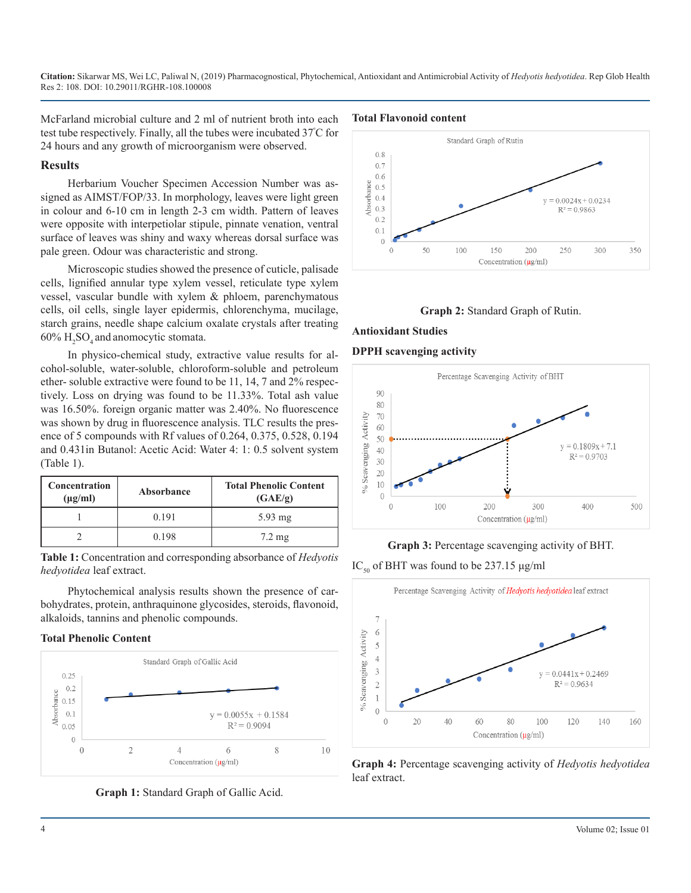McFarland microbial culture and 2 ml of nutrient broth into each test tube respectively. Finally, all the tubes were incubated 37<sup>º</sup> C for 24 hours and any growth of microorganism were observed.

#### **Results**

Herbarium Voucher Specimen Accession Number was assigned as AIMST/FOP/33. In morphology, leaves were light green in colour and 6-10 cm in length 2-3 cm width. Pattern of leaves were opposite with interpetiolar stipule, pinnate venation, ventral surface of leaves was shiny and waxy whereas dorsal surface was pale green. Odour was characteristic and strong.

Microscopic studies showed the presence of cuticle, palisade cells, lignified annular type xylem vessel, reticulate type xylem vessel, vascular bundle with xylem & phloem, parenchymatous cells, oil cells, single layer epidermis, chlorenchyma, mucilage, starch grains, needle shape calcium oxalate crystals after treating  $60\%$  H<sub>2</sub>SO<sub>4</sub> and anomocytic stomata.

In physico-chemical study, extractive value results for alcohol-soluble, water-soluble, chloroform-soluble and petroleum ether- soluble extractive were found to be 11, 14, 7 and 2% respectively. Loss on drying was found to be 11.33%. Total ash value was 16.50%. foreign organic matter was 2.40%. No fluorescence was shown by drug in fluorescence analysis. TLC results the presence of 5 compounds with Rf values of 0.264, 0.375, 0.528, 0.194 and 0.431in Butanol: Acetic Acid: Water 4: 1: 0.5 solvent system (Table 1).

| <b>Concentration</b><br>$(\mu g/ml)$ | Absorbance | <b>Total Phenolic Content</b><br>(GAE/g) |
|--------------------------------------|------------|------------------------------------------|
|                                      | 0.191      | $5.93 \text{ mg}$                        |
|                                      | 0.198      | $7.2 \text{ mg}$                         |

**Table 1:** Concentration and corresponding absorbance of *Hedyotis hedyotidea* leaf extract.

Phytochemical analysis results shown the presence of carbohydrates, protein, anthraquinone glycosides, steroids, flavonoid, alkaloids, tannins and phenolic compounds.

#### **Total Phenolic Content**



**Graph 1:** Standard Graph of Gallic Acid.

#### **Total Flavonoid content**





## **Antioxidant Studies**

#### **DPPH scavenging activity**



#### **Graph 3:** Percentage scavenging activity of BHT.

IC<sub>50</sub> of BHT was found to be 237.15  $\mu$ g/ml



**Graph 4:** Percentage scavenging activity of *Hedyotis hedyotidea* leaf extract.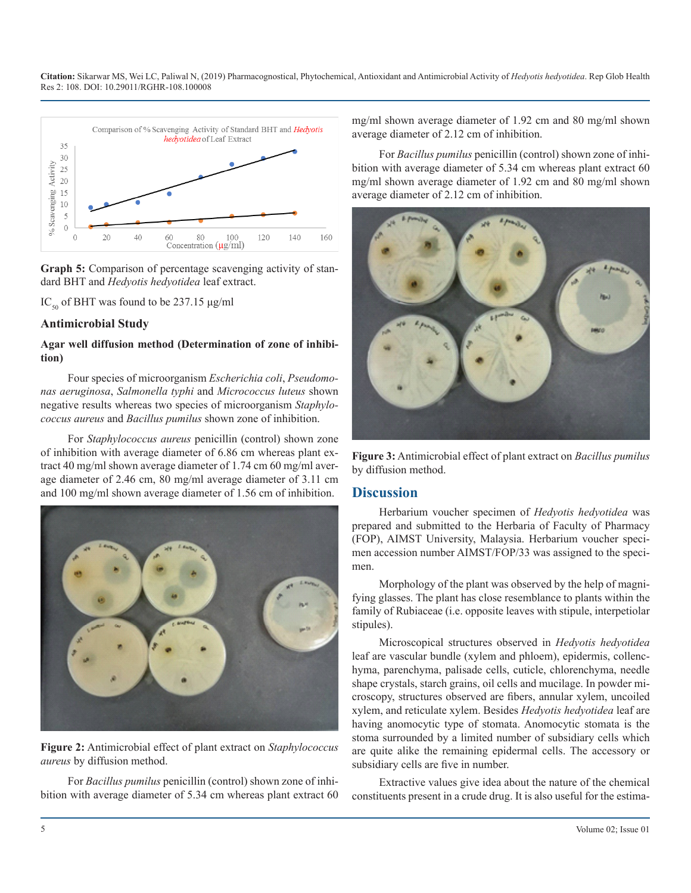

**Graph 5:** Comparison of percentage scavenging activity of standard BHT and *Hedyotis hedyotidea* leaf extract.

IC<sub>50</sub> of BHT was found to be 237.15 μg/ml

#### **Antimicrobial Study**

#### **Agar well diffusion method (Determination of zone of inhibition)**

Four species of microorganism *Escherichia coli*, *Pseudomonas aeruginosa*, *Salmonella typhi* and *Micrococcus luteus* shown negative results whereas two species of microorganism *Staphylococcus aureus* and *Bacillus pumilus* shown zone of inhibition.

For *Staphylococcus aureus* penicillin (control) shown zone of inhibition with average diameter of 6.86 cm whereas plant extract 40 mg/ml shown average diameter of 1.74 cm 60 mg/ml average diameter of 2.46 cm, 80 mg/ml average diameter of 3.11 cm and 100 mg/ml shown average diameter of 1.56 cm of inhibition.



**Figure 2:** Antimicrobial effect of plant extract on *Staphylococcus aureus* by diffusion method.

For *Bacillus pumilus* penicillin (control) shown zone of inhibition with average diameter of 5.34 cm whereas plant extract 60 mg/ml shown average diameter of 1.92 cm and 80 mg/ml shown average diameter of 2.12 cm of inhibition.

For *Bacillus pumilus* penicillin (control) shown zone of inhibition with average diameter of 5.34 cm whereas plant extract 60 mg/ml shown average diameter of 1.92 cm and 80 mg/ml shown average diameter of 2.12 cm of inhibition.



**Figure 3:** Antimicrobial effect of plant extract on *Bacillus pumilus* by diffusion method.

#### **Discussion**

Herbarium voucher specimen of *Hedyotis hedyotidea* was prepared and submitted to the Herbaria of Faculty of Pharmacy (FOP), AIMST University, Malaysia. Herbarium voucher specimen accession number AIMST/FOP/33 was assigned to the specimen.

Morphology of the plant was observed by the help of magnifying glasses. The plant has close resemblance to plants within the family of Rubiaceae (i.e. opposite leaves with stipule, interpetiolar stipules).

Microscopical structures observed in *Hedyotis hedyotidea* leaf are vascular bundle (xylem and phloem), epidermis, collenchyma, parenchyma, palisade cells, cuticle, chlorenchyma, needle shape crystals, starch grains, oil cells and mucilage. In powder microscopy, structures observed are fibers, annular xylem, uncoiled xylem, and reticulate xylem. Besides *Hedyotis hedyotidea* leaf are having anomocytic type of stomata. Anomocytic stomata is the stoma surrounded by a limited number of subsidiary cells which are quite alike the remaining epidermal cells. The accessory or subsidiary cells are five in number.

Extractive values give idea about the nature of the chemical constituents present in a crude drug. It is also useful for the estima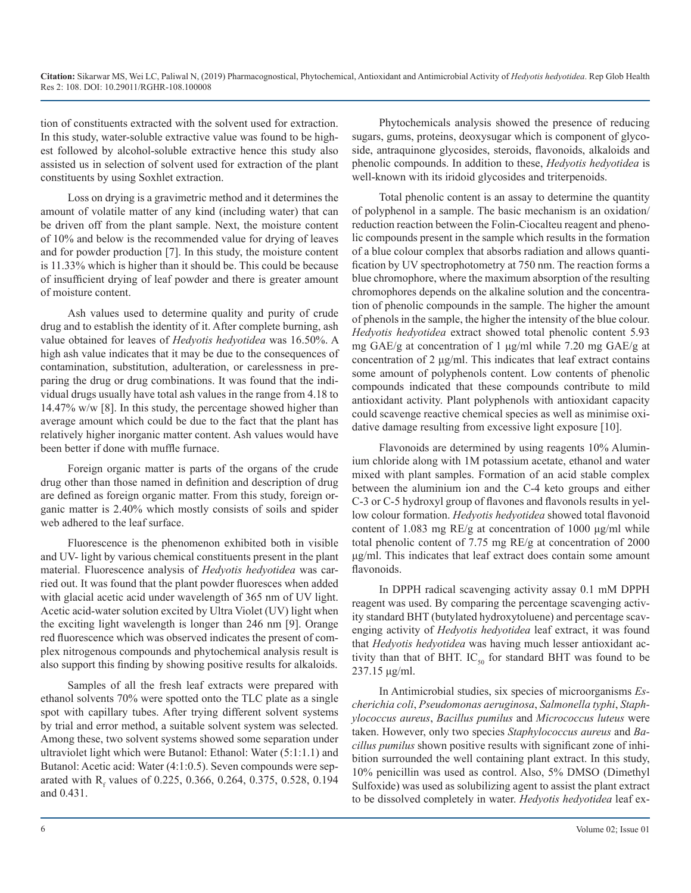tion of constituents extracted with the solvent used for extraction. In this study, water-soluble extractive value was found to be highest followed by alcohol-soluble extractive hence this study also assisted us in selection of solvent used for extraction of the plant constituents by using Soxhlet extraction.

Loss on drying is a gravimetric method and it determines the amount of volatile matter of any kind (including water) that can be driven off from the plant sample. Next, the moisture content of 10% and below is the recommended value for drying of leaves and for powder production [7]. In this study, the moisture content is 11.33% which is higher than it should be. This could be because of insufficient drying of leaf powder and there is greater amount of moisture content.

Ash values used to determine quality and purity of crude drug and to establish the identity of it. After complete burning, ash value obtained for leaves of *Hedyotis hedyotidea* was 16.50%. A high ash value indicates that it may be due to the consequences of contamination, substitution, adulteration, or carelessness in preparing the drug or drug combinations. It was found that the individual drugs usually have total ash values in the range from 4.18 to 14.47% w/w [8]. In this study, the percentage showed higher than average amount which could be due to the fact that the plant has relatively higher inorganic matter content. Ash values would have been better if done with muffle furnace.

Foreign organic matter is parts of the organs of the crude drug other than those named in definition and description of drug are defined as foreign organic matter. From this study, foreign organic matter is 2.40% which mostly consists of soils and spider web adhered to the leaf surface.

Fluorescence is the phenomenon exhibited both in visible and UV- light by various chemical constituents present in the plant material. Fluorescence analysis of *Hedyotis hedyotidea* was carried out. It was found that the plant powder fluoresces when added with glacial acetic acid under wavelength of 365 nm of UV light. Acetic acid-water solution excited by Ultra Violet (UV) light when the exciting light wavelength is longer than 246 nm [9]. Orange red fluorescence which was observed indicates the present of complex nitrogenous compounds and phytochemical analysis result is also support this finding by showing positive results for alkaloids.

Samples of all the fresh leaf extracts were prepared with ethanol solvents 70% were spotted onto the TLC plate as a single spot with capillary tubes. After trying different solvent systems by trial and error method, a suitable solvent system was selected. Among these, two solvent systems showed some separation under ultraviolet light which were Butanol: Ethanol: Water (5:1:1.1) and Butanol: Acetic acid: Water (4:1:0.5). Seven compounds were separated with  $R_f$  values of 0.225, 0.366, 0.264, 0.375, 0.528, 0.194 and 0.431.

Phytochemicals analysis showed the presence of reducing sugars, gums, proteins, deoxysugar which is component of glycoside, antraquinone glycosides, steroids, flavonoids, alkaloids and phenolic compounds. In addition to these, *Hedyotis hedyotidea* is well-known with its iridoid glycosides and triterpenoids.

Total phenolic content is an assay to determine the quantity of polyphenol in a sample. The basic mechanism is an oxidation/ reduction reaction between the Folin-Ciocalteu reagent and phenolic compounds present in the sample which results in the formation of a blue colour complex that absorbs radiation and allows quantification by UV spectrophotometry at 750 nm. The reaction forms a blue chromophore, where the maximum absorption of the resulting chromophores depends on the alkaline solution and the concentration of phenolic compounds in the sample. The higher the amount of phenols in the sample, the higher the intensity of the blue colour. *Hedyotis hedyotidea* extract showed total phenolic content 5.93 mg GAE/g at concentration of 1 μg/ml while 7.20 mg GAE/g at concentration of 2 μg/ml. This indicates that leaf extract contains some amount of polyphenols content. Low contents of phenolic compounds indicated that these compounds contribute to mild antioxidant activity. Plant polyphenols with antioxidant capacity could scavenge reactive chemical species as well as minimise oxidative damage resulting from excessive light exposure [10].

Flavonoids are determined by using reagents 10% Aluminium chloride along with 1M potassium acetate, ethanol and water mixed with plant samples. Formation of an acid stable complex between the aluminium ion and the C-4 keto groups and either C-3 or C-5 hydroxyl group of flavones and flavonols results in yellow colour formation. *Hedyotis hedyotidea* showed total flavonoid content of 1.083 mg RE/g at concentration of 1000 μg/ml while total phenolic content of 7.75 mg RE/g at concentration of 2000 μg/ml. This indicates that leaf extract does contain some amount flavonoids.

In DPPH radical scavenging activity assay 0.1 mM DPPH reagent was used. By comparing the percentage scavenging activity standard BHT (butylated hydroxytoluene) and percentage scavenging activity of *Hedyotis hedyotidea* leaf extract, it was found that *Hedyotis hedyotidea* was having much lesser antioxidant activity than that of BHT. IC<sub>50</sub> for standard BHT was found to be 237.15 μg/ml.

In Antimicrobial studies, six species of microorganisms *Escherichia coli*, *Pseudomonas aeruginosa*, *Salmonella typhi*, *Staphylococcus aureus*, *Bacillus pumilus* and *Micrococcus luteus* were taken. However, only two species *Staphylococcus aureus* and *Bacillus pumilus* shown positive results with significant zone of inhibition surrounded the well containing plant extract. In this study, 10% penicillin was used as control. Also, 5% DMSO (Dimethyl Sulfoxide) was used as solubilizing agent to assist the plant extract to be dissolved completely in water. *Hedyotis hedyotidea* leaf ex-